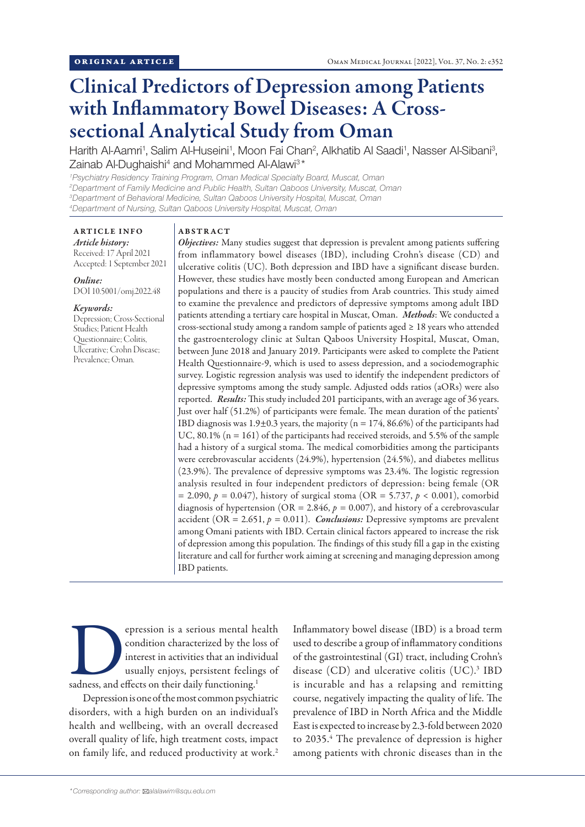# Clinical Predictors of Depression among Patients with Inflammatory Bowel Diseases: A Crosssectional Analytical Study from Oman

Harith Al-Aamri<sup>1</sup>, Salim Al-Huseini<sup>1</sup>, Moon Fai Chan<sup>2</sup>, Alkhatib Al Saadi<sup>1</sup>, Nasser Al-Sibani<sup>3</sup>, Zainab Al-Dughaishi<sup>4</sup> and Mohammed Al-Alawi<sup>3\*</sup>

 *Psychiatry Residency Training Program, Oman Medical Specialty Board, Muscat, Oman Department of Family Medicine and Public Health, Sultan Qaboos University, Muscat, Oman Department of Behavioral Medicine, Sultan Qaboos University Hospital, Muscat, Oman Department of Nursing, Sultan Qaboos University Hospital, Muscat, Oman*

ARTICLE INFO *Article history:* Received: 17 April 2021 Accepted: 1 September 2021

*Online:* DOI 10.5001/omj.2022.48

### *Keywords:*

Depression; Cross-Sectional Studies; Patient Health Questionnaire; Colitis, Ulcerative; Crohn Disease; Prevalence; Oman.

### ABSTRACT

*Objectives:* Many studies suggest that depression is prevalent among patients suffering from inflammatory bowel diseases (IBD), including Crohn's disease (CD) and ulcerative colitis (UC). Both depression and IBD have a significant disease burden. However, these studies have mostly been conducted among European and American populations and there is a paucity of studies from Arab countries. This study aimed to examine the prevalence and predictors of depressive symptoms among adult IBD patients attending a tertiary care hospital in Muscat, Oman. *Methods*: We conducted a cross-sectional study among a random sample of patients aged  $\geq 18$  years who attended the gastroenterology clinic at Sultan Qaboos University Hospital, Muscat, Oman, between June 2018 and January 2019. Participants were asked to complete the Patient Health Questionnaire-9, which is used to assess depression, and a sociodemographic survey. Logistic regression analysis was used to identify the independent predictors of depressive symptoms among the study sample. Adjusted odds ratios (aORs) were also reported. *Results:* This study included 201 participants, with an average age of 36 years. Just over half (51.2%) of participants were female. The mean duration of the patients' IBD diagnosis was  $1.9\pm0.3$  years, the majority (n = 174, 86.6%) of the participants had UC,  $80.1\%$  ( $n = 161$ ) of the participants had received steroids, and 5.5% of the sample had a history of a surgical stoma. The medical comorbidities among the participants were cerebrovascular accidents (24.9%), hypertension (24.5%), and diabetes mellitus (23.9%). The prevalence of depressive symptoms was 23.4%. The logistic regression analysis resulted in four independent predictors of depression: being female (OR = 2.090, *p =* 0.047), history of surgical stoma (OR = 5.737, *p* < 0.001), comorbid diagnosis of hypertension (OR = 2.846, *p =* 0.007), and history of a cerebrovascular accident ( $OR = 2.651$ ,  $p = 0.011$ ). *Conclusions:* Depressive symptoms are prevalent among Omani patients with IBD. Certain clinical factors appeared to increase the risk of depression among this population. The findings of this study fill a gap in the existing literature and call for further work aiming at screening and managing depression among IBD patients.

epression is a serious mental health<br>
condition characterized by the loss of<br>
interest in activities that an individual<br>
usually enjoys, persistent feelings of<br>
sadness, and effects on their daily functioning.<sup>1</sup> condition characterized by the loss of interest in activities that an individual usually enjoys, persistent feelings of

Depression is one of the most common psychiatric disorders, with a high burden on an individual's health and wellbeing, with an overall decreased overall quality of life, high treatment costs, impact on family life, and reduced productivity at work.<sup>2</sup> Inflammatory bowel disease (IBD) is a broad term used to describe a group of inflammatory conditions of the gastrointestinal (GI) tract, including Crohn's disease (CD) and ulcerative colitis (UC).<sup>3</sup> IBD is incurable and has a relapsing and remitting course, negatively impacting the quality of life. The prevalence of IBD in North Africa and the Middle East is expected to increase by 2.3-fold between 2020 to 2035.<sup>4</sup> The prevalence of depression is higher among patients with chronic diseases than in the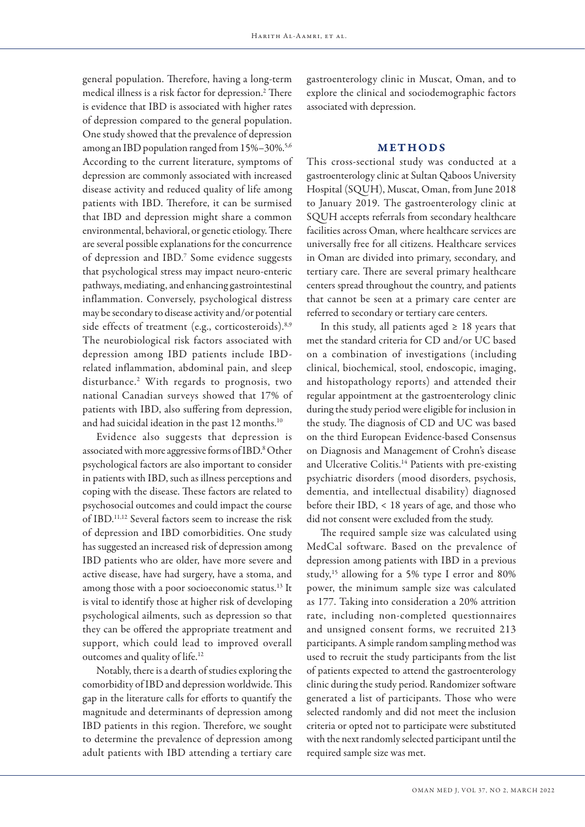general population. Therefore, having a long-term medical illness is a risk factor for depression.2 There is evidence that IBD is associated with higher rates of depression compared to the general population. One study showed that the prevalence of depression among an IBD population ranged from 15%–30%.<sup>5,6</sup> According to the current literature, symptoms of depression are commonly associated with increased disease activity and reduced quality of life among patients with IBD. Therefore, it can be surmised that IBD and depression might share a common environmental, behavioral, or genetic etiology. There are several possible explanations for the concurrence of depression and IBD.7 Some evidence suggests that psychological stress may impact neuro-enteric pathways, mediating, and enhancing gastrointestinal inflammation. Conversely, psychological distress may be secondary to disease activity and/or potential side effects of treatment (e.g., corticosteroids).<sup>8,9</sup> The neurobiological risk factors associated with depression among IBD patients include IBDrelated inflammation, abdominal pain, and sleep disturbance.2 With regards to prognosis, two national Canadian surveys showed that 17% of patients with IBD, also suffering from depression, and had suicidal ideation in the past 12 months.<sup>10</sup>

Evidence also suggests that depression is associated with more aggressive forms of IBD.<sup>8</sup> Other psychological factors are also important to consider in patients with IBD, such as illness perceptions and coping with the disease. These factors are related to psychosocial outcomes and could impact the course of IBD.11,12 Several factors seem to increase the risk of depression and IBD comorbidities. One study has suggested an increased risk of depression among IBD patients who are older, have more severe and active disease, have had surgery, have a stoma, and among those with a poor socioeconomic status.<sup>13</sup> It is vital to identify those at higher risk of developing psychological ailments, such as depression so that they can be offered the appropriate treatment and support, which could lead to improved overall outcomes and quality of life.12

Notably, there is a dearth of studies exploring the comorbidity of IBD and depression worldwide. This gap in the literature calls for efforts to quantify the magnitude and determinants of depression among IBD patients in this region. Therefore, we sought to determine the prevalence of depression among adult patients with IBD attending a tertiary care

gastroenterology clinic in Muscat, Oman, and to explore the clinical and sociodemographic factors associated with depression.

# **METHODS**

This cross-sectional study was conducted at a gastroenterology clinic at Sultan Qaboos University Hospital (SQUH), Muscat, Oman, from June 2018 to January 2019. The gastroenterology clinic at SQUH accepts referrals from secondary healthcare facilities across Oman, where healthcare services are universally free for all citizens. Healthcare services in Oman are divided into primary, secondary, and tertiary care. There are several primary healthcare centers spread throughout the country, and patients that cannot be seen at a primary care center are referred to secondary or tertiary care centers.

In this study, all patients aged  $\geq 18$  years that met the standard criteria for CD and/or UC based on a combination of investigations (including clinical, biochemical, stool, endoscopic, imaging, and histopathology reports) and attended their regular appointment at the gastroenterology clinic during the study period were eligible for inclusion in the study. The diagnosis of CD and UC was based on the third European Evidence-based Consensus on Diagnosis and Management of Crohn's disease and Ulcerative Colitis.<sup>14</sup> Patients with pre-existing psychiatric disorders (mood disorders, psychosis, dementia, and intellectual disability) diagnosed before their IBD, < 18 years of age, and those who did not consent were excluded from the study.

The required sample size was calculated using MedCal software. Based on the prevalence of depression among patients with IBD in a previous study,15 allowing for a 5% type I error and 80% power, the minimum sample size was calculated as 177. Taking into consideration a 20% attrition rate, including non-completed questionnaires and unsigned consent forms, we recruited 213 participants. A simple random sampling method was used to recruit the study participants from the list of patients expected to attend the gastroenterology clinic during the study period. Randomizer software generated a list of participants. Those who were selected randomly and did not meet the inclusion criteria or opted not to participate were substituted with the next randomly selected participant until the required sample size was met.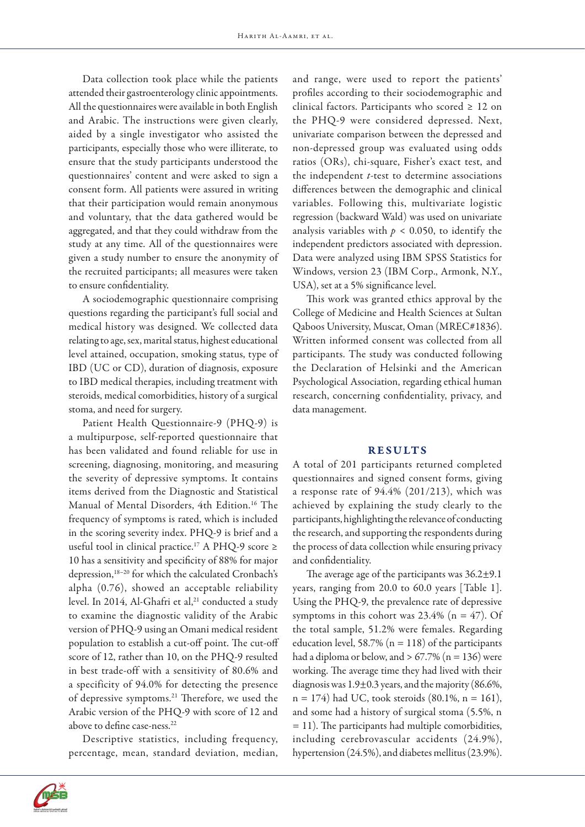Data collection took place while the patients attended their gastroenterology clinic appointments. All the questionnaires were available in both English and Arabic. The instructions were given clearly, aided by a single investigator who assisted the participants, especially those who were illiterate, to ensure that the study participants understood the questionnaires' content and were asked to sign a consent form. All patients were assured in writing that their participation would remain anonymous and voluntary, that the data gathered would be aggregated, and that they could withdraw from the study at any time. All of the questionnaires were given a study number to ensure the anonymity of the recruited participants; all measures were taken to ensure confidentiality.

A sociodemographic questionnaire comprising questions regarding the participant's full social and medical history was designed. We collected data relating to age, sex, marital status, highest educational level attained, occupation, smoking status, type of IBD (UC or CD), duration of diagnosis, exposure to IBD medical therapies, including treatment with steroids, medical comorbidities, history of a surgical stoma, and need for surgery.

Patient Health Questionnaire-9 (PHQ-9) is a multipurpose, self-reported questionnaire that has been validated and found reliable for use in screening, diagnosing, monitoring, and measuring the severity of depressive symptoms. It contains items derived from the Diagnostic and Statistical Manual of Mental Disorders, 4th Edition.<sup>16</sup> The frequency of symptoms is rated, which is included in the scoring severity index. PHQ-9 is brief and a useful tool in clinical practice.<sup>17</sup> A PHQ-9 score ≥ 10 has a sensitivity and specificity of 88% for major depression,<sup>18-20</sup> for which the calculated Cronbach's alpha (0.76), showed an acceptable reliability level. In 2014, Al-Ghafri et al,<sup>21</sup> conducted a study to examine the diagnostic validity of the Arabic version of PHQ-9 using an Omani medical resident population to establish a cut-off point. The cut-off score of 12, rather than 10, on the PHQ-9 resulted in best trade-off with a sensitivity of 80.6% and a specificity of 94.0% for detecting the presence of depressive symptoms.21 Therefore, we used the Arabic version of the PHQ-9 with score of 12 and above to define case-ness.<sup>22</sup>

Descriptive statistics, including frequency, percentage, mean, standard deviation, median,



This work was granted ethics approval by the College of Medicine and Health Sciences at Sultan Qaboos University, Muscat, Oman (MREC#1836). Written informed consent was collected from all participants. The study was conducted following the Declaration of Helsinki and the American Psychological Association, regarding ethical human research, concerning confidentiality, privacy, and data management.

# **RESULTS**

A total of 201 participants returned completed questionnaires and signed consent forms, giving a response rate of 94.4% (201/213), which was achieved by explaining the study clearly to the participants, highlighting the relevance of conducting the research, and supporting the respondents during the process of data collection while ensuring privacy and confidentiality.

The average age of the participants was  $36.2 \pm 9.1$ years, ranging from 20.0 to 60.0 years [Table 1]. Using the PHQ-9, the prevalence rate of depressive symptoms in this cohort was  $23.4\%$  (n = 47). Of the total sample, 51.2% were females. Regarding education level, 58.7% ( $n = 118$ ) of the participants had a diploma or below, and  $> 67.7\%$  (n = 136) were working. The average time they had lived with their diagnosis was 1.9±0.3 years, and the majority (86.6%,  $n = 174$ ) had UC, took steroids (80.1%,  $n = 161$ ), and some had a history of surgical stoma (5.5%, n  $= 11$ ). The participants had multiple comorbidities, including cerebrovascular accidents (24.9%), hypertension (24.5%), and diabetes mellitus (23.9%).

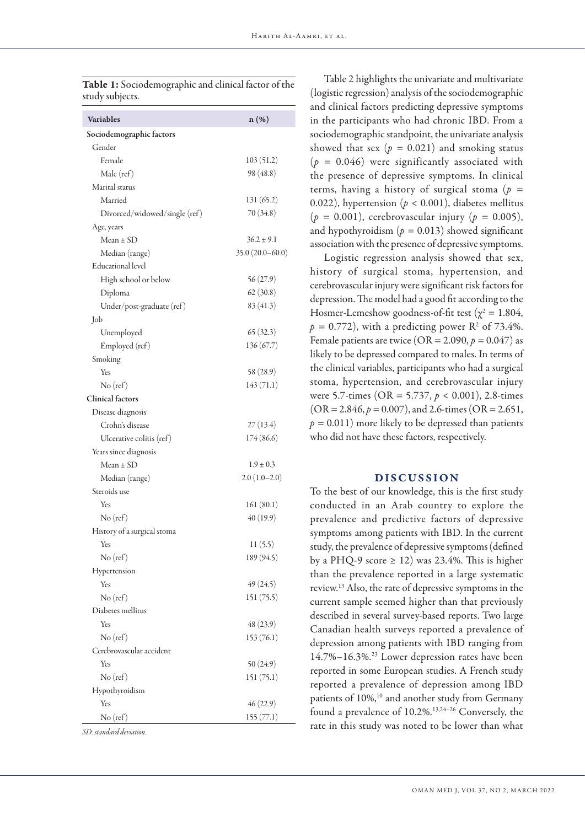| <b>Variables</b><br>$n(\%)$                |  |
|--------------------------------------------|--|
|                                            |  |
| Sociodemographic factors                   |  |
| Gender                                     |  |
| Female<br>103(51.2)                        |  |
| Male (ref)<br>98 (48.8)                    |  |
| Marital status                             |  |
| Married<br>131 (65.2)                      |  |
| 70 (34.8)<br>Divorced/widowed/single (ref) |  |
| Age, years                                 |  |
| Mean ± SD<br>$36.2 \pm 9.1$                |  |
| Median (range)<br>$35.0(20.0-60.0)$        |  |
| <b>Educational level</b>                   |  |
| 56(27.9)<br>High school or below           |  |
| 62(30.8)<br>Diploma                        |  |
| 83 (41.3)<br>Under/post-graduate (ref)     |  |
| Job                                        |  |
| 65(32.3)<br>Unemployed                     |  |
| 136(67.7)<br>Employed (ref)                |  |
| Smoking                                    |  |
| Yes<br>58 (28.9)                           |  |
| No (ref)<br>143(71.1)                      |  |
| <b>Clinical factors</b>                    |  |
| Disease diagnosis                          |  |
| Crohn's disease<br>27(13.4)                |  |
| Ulcerative colitis (ref)<br>174 (86.6)     |  |
| Years since diagnosis                      |  |
| Mean ± SD<br>$1.9 \pm 0.3$                 |  |
| Median (range)<br>$2.0(1.0-2.0)$           |  |
| Steroids use                               |  |
| Yes<br>161(80.1)                           |  |
| No (ref)<br>40(19.9)                       |  |
| History of a surgical stoma                |  |
| 11(5.5)<br>Yes                             |  |
| 189 (94.5)<br>$No$ (ref)                   |  |
| Hypertension                               |  |
| 49(24.5)<br>Yes                            |  |
| 151 (75.5)<br>$No$ (ref)                   |  |
| Diabetes mellitus                          |  |
| 48 (23.9)<br>Yes                           |  |
| No (ref)<br>153(76.1)                      |  |
| Cerebrovascular accident                   |  |
| Yes<br>50(24.9)                            |  |
| No (ref)<br>151 (75.1)                     |  |
| Hypothyroidism                             |  |
| Yes<br>46(22.9)                            |  |
| 155(77.1)<br>No (ref)                      |  |

Table 1: Sociodemographic and clinical factor of the study subjects.

*SD: standard deviation.*

Table 2 highlights the univariate and multivariate (logistic regression) analysis of the sociodemographic and clinical factors predicting depressive symptoms in the participants who had chronic IBD. From a sociodemographic standpoint, the univariate analysis showed that sex ( $p = 0.021$ ) and smoking status  $(p = 0.046)$  were significantly associated with the presence of depressive symptoms. In clinical terms, having a history of surgical stoma (*p =*  0.022), hypertension ( $p < 0.001$ ), diabetes mellitus (*p =* 0.001), cerebrovascular injury (*p =* 0.005), and hypothyroidism  $(p = 0.013)$  showed significant association with the presence of depressive symptoms.

Logistic regression analysis showed that sex, history of surgical stoma, hypertension, and cerebrovascular injury were significant risk factors for depression. The model had a good fit according to the Hosmer-Lemeshow goodness-of-fit test ( $\chi^2 = 1.804$ ,  $p = 0.772$ ), with a predicting power R<sup>2</sup> of 73.4%. Female patients are twice (OR =  $2.090, p = 0.047$ ) as likely to be depressed compared to males. In terms of the clinical variables, participants who had a surgical stoma, hypertension, and cerebrovascular injury were 5.7-times (OR = 5.737, *p* < 0.001), 2.8-times  $(OR = 2.846, p = 0.007)$ , and 2.6-times  $(OR = 2.651,$  $p = 0.011$ ) more likely to be depressed than patients who did not have these factors, respectively.

# DISCUSSION

To the best of our knowledge, this is the first study conducted in an Arab country to explore the prevalence and predictive factors of depressive symptoms among patients with IBD. In the current study, the prevalence of depressive symptoms (defined by a PHQ-9 score  $\geq$  12) was 23.4%. This is higher than the prevalence reported in a large systematic review.13 Also, the rate of depressive symptoms in the current sample seemed higher than that previously described in several survey-based reports. Two large Canadian health surveys reported a prevalence of depression among patients with IBD ranging from 14.7%–16.3%.23 Lower depression rates have been reported in some European studies. A French study reported a prevalence of depression among IBD patients of 10%,<sup>10</sup> and another study from Germany found a prevalence of 10.2%.13,24–26 Conversely, the rate in this study was noted to be lower than what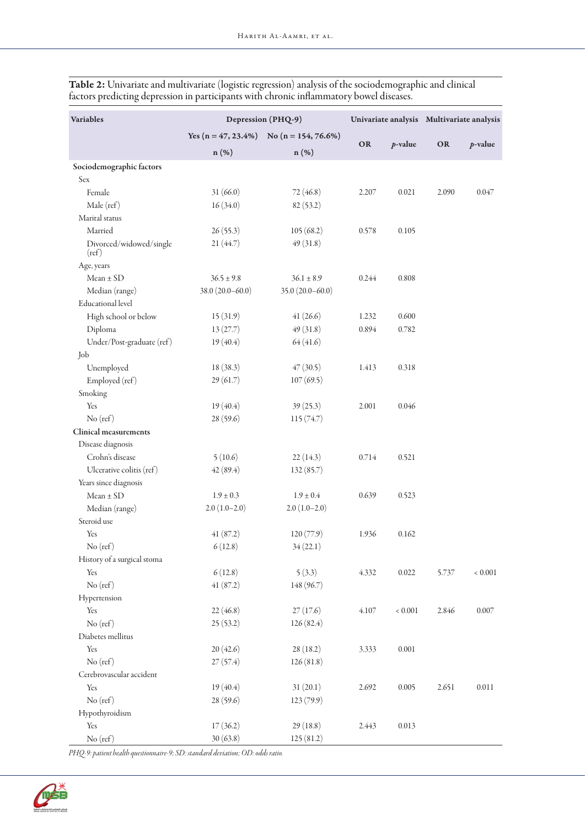| <b>Variables</b>                 | Depression (PHQ-9)  |                                               |       |             | Univariate analysis Multivariate analysis |             |
|----------------------------------|---------------------|-----------------------------------------------|-------|-------------|-------------------------------------------|-------------|
|                                  |                     | Yes $(n = 47, 23.4\%)$ No $(n = 154, 76.6\%)$ |       |             |                                           |             |
|                                  | n (%)               | n (%)                                         | OR    | $p$ -value  | OR                                        | $p$ -value  |
| Sociodemographic factors         |                     |                                               |       |             |                                           |             |
| Sex                              |                     |                                               |       |             |                                           |             |
| Female                           | 31 (66.0)           | 72 (46.8)                                     | 2.207 | 0.021       | 2.090                                     | 0.047       |
| Male (ref)                       | 16(34.0)            | 82(53.2)                                      |       |             |                                           |             |
| Marital status                   |                     |                                               |       |             |                                           |             |
| Married                          | 26(55.3)            | 105(68.2)                                     | 0.578 | 0.105       |                                           |             |
| Divorced/widowed/single<br>(ref) | 21 (44.7)           | 49(31.8)                                      |       |             |                                           |             |
| Age, years                       |                     |                                               |       |             |                                           |             |
| $Mean \pm SD$                    | $36.5 \pm 9.8$      | $36.1 \pm 8.9$                                | 0.244 | 0.808       |                                           |             |
| Median (range)                   | $38.0(20.0 - 60.0)$ | $35.0(20.0 - 60.0)$                           |       |             |                                           |             |
| Educational level                |                     |                                               |       |             |                                           |             |
| High school or below             | 15(31.9)            | 41(26.6)                                      | 1.232 | 0.600       |                                           |             |
| Diploma                          | 13(27.7)            | 49(31.8)                                      | 0.894 | 0.782       |                                           |             |
| Under/Post-graduate (ref)        | 19(40.4)            | 64 (41.6)                                     |       |             |                                           |             |
| Job                              |                     |                                               |       |             |                                           |             |
| Unemployed                       | 18(38.3)            | 47(30.5)                                      | 1.413 | 0.318       |                                           |             |
| Employed (ref)                   | 29(61.7)            | 107(69.5)                                     |       |             |                                           |             |
| Smoking                          |                     |                                               |       |             |                                           |             |
| Yes                              | 19(40.4)            | 39(25.3)                                      | 2.001 | 0.046       |                                           |             |
| No (ref)                         | 28 (59.6)           | 115(74.7)                                     |       |             |                                           |             |
| <b>Clinical measurements</b>     |                     |                                               |       |             |                                           |             |
| Disease diagnosis                |                     |                                               |       |             |                                           |             |
| Crohn's disease                  | 5(10.6)             | 22(14.3)                                      | 0.714 | 0.521       |                                           |             |
| Ulcerative colitis (ref)         | 42(89.4)            | 132(85.7)                                     |       |             |                                           |             |
| Years since diagnosis            |                     |                                               |       |             |                                           |             |
| $Mean \pm SD$                    | $1.9 \pm 0.3$       | $1.9 \pm 0.4$                                 | 0.639 | 0.523       |                                           |             |
| Median (range)                   | $2.0(1.0-2.0)$      | $2.0(1.0-2.0)$                                |       |             |                                           |             |
| Steroid use                      |                     |                                               |       |             |                                           |             |
| Yes                              | 41(87.2)            | 120(77.9)                                     | 1.936 | 0.162       |                                           |             |
| $No$ (ref)                       | 6(12.8)             | 34(22.1)                                      |       |             |                                           |             |
| History of a surgical stoma      |                     |                                               |       |             |                                           |             |
| Yes                              | 6(12.8)             | 5(3.3)                                        | 4.332 | 0.022       | 5.737                                     | ${}< 0.001$ |
| No (ref)                         | 41(87.2)            | 148 (96.7)                                    |       |             |                                           |             |
| Hypertension                     |                     |                                               |       |             |                                           |             |
| Yes                              | 22(46.8)            | 27(17.6)                                      | 4.107 | ${}< 0.001$ | 2.846                                     | 0.007       |
| No (ref)                         | 25(53.2)            | 126(82.4)                                     |       |             |                                           |             |
| Diabetes mellitus                |                     |                                               |       |             |                                           |             |
| Yes                              | 20(42.6)            | 28(18.2)                                      | 3.333 | 0.001       |                                           |             |
| $No$ (ref)                       | 27(57.4)            | 126(81.8)                                     |       |             |                                           |             |
| Cerebrovascular accident         |                     |                                               |       |             |                                           |             |
| Yes                              | 19(40.4)            | 31(20.1)                                      | 2.692 | 0.005       | 2.651                                     | 0.011       |
| No (ref)                         | 28 (59.6)           | 123 (79.9)                                    |       |             |                                           |             |
| Hypothyroidism                   |                     |                                               |       |             |                                           |             |
|                                  |                     |                                               |       |             |                                           |             |
| Yes                              | 17(36.2)            | 29(18.8)                                      | 2.443 | 0.013       |                                           |             |
| No (ref)                         | 30(63.8)            | 125(81.2)                                     |       |             |                                           |             |

Table 2: Univariate and multivariate (logistic regression) analysis of the sociodemographic and clinical factors predicting depression in participants with chronic inflammatory bowel diseases.

*PHQ-9: patient health questionnaire-9; SD: standard deviation; OD: odds ratio.*

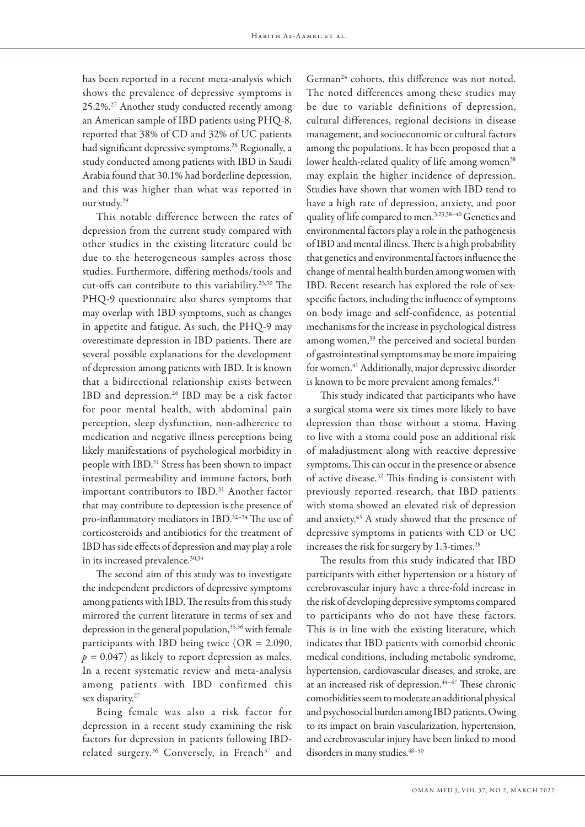has been reported in a recent meta-analysis which shows the prevalence of depressive symptoms is 25.2%.27 Another study conducted recently among an American sample of IBD patients using PHQ-8, reported that 38% of CD and 32% of UC patients had significant depressive symptoms.<sup>28</sup> Regionally, a study conducted among patients with IBD in Saudi Arabia found that 30.1% had borderline depression, and this was higher than what was reported in our study.29

This notable difference between the rates of depression from the current study compared with other studies in the existing literature could be due to the heterogeneous samples across those studies. Furthermore, differing methods/tools and cut-offs can contribute to this variability.23,30 The PHQ-9 questionnaire also shares symptoms that may overlap with IBD symptoms, such as changes in appetite and fatigue. As such, the PHQ-9 may overestimate depression in IBD patients. There are several possible explanations for the development of depression among patients with IBD. It is known that a bidirectional relationship exists between IBD and depression.26 IBD may be a risk factor for poor mental health, with abdominal pain perception, sleep dysfunction, non-adherence to medication and negative illness perceptions being likely manifestations of psychological morbidity in people with IBD.<sup>31</sup> Stress has been shown to impact intestinal permeability and immune factors, both important contributors to IBD.<sup>31</sup> Another factor that may contribute to depression is the presence of pro-inflammatory mediators in IBD.32–34 The use of corticosteroids and antibiotics for the treatment of IBD has side effects of depression and may play a role in its increased prevalence.<sup>30,34</sup>

The second aim of this study was to investigate the independent predictors of depressive symptoms among patients with IBD. The results from this study mirrored the current literature in terms of sex and depression in the general population,<sup>35,36</sup> with female participants with IBD being twice (OR = 2.090,  $p = 0.047$ ) as likely to report depression as males. In a recent systematic review and meta-analysis among patients with IBD confirmed this sex disparity.<sup>27</sup>

Being female was also a risk factor for depression in a recent study examining the risk factors for depression in patients following IBDrelated surgery.<sup>36</sup> Conversely, in French<sup>37</sup> and German<sup>24</sup> cohorts, this difference was not noted. The noted differences among these studies may be due to variable definitions of depression, cultural differences, regional decisions in disease management, and socioeconomic or cultural factors among the populations. It has been proposed that a lower health-related quality of life among women<sup>38</sup> may explain the higher incidence of depression. Studies have shown that women with IBD tend to have a high rate of depression, anxiety, and poor quality of life compared to men.3,23,38–40 Genetics and environmental factors play a role in the pathogenesis of IBD and mental illness. There is a high probability that genetics and environmental factors influence the change of mental health burden among women with IBD. Recent research has explored the role of sexspecific factors, including the influence of symptoms on body image and self-confidence, as potential mechanisms for the increase in psychological distress among women,<sup>39</sup> the perceived and societal burden of gastrointestinal symptoms may be more impairing for women.<sup>41</sup> Additionally, major depressive disorder is known to be more prevalent among females.<sup>41</sup>

This study indicated that participants who have a surgical stoma were six times more likely to have depression than those without a stoma. Having to live with a stoma could pose an additional risk of maladjustment along with reactive depressive symptoms. This can occur in the presence or absence of active disease.<sup>42</sup> This finding is consistent with previously reported research, that IBD patients with stoma showed an elevated risk of depression and anxiety.<sup>43</sup> A study showed that the presence of depressive symptoms in patients with CD or UC increases the risk for surgery by 1.3-times.<sup>28</sup>

The results from this study indicated that IBD participants with either hypertension or a history of cerebrovascular injury have a three-fold increase in the risk of developing depressive symptoms compared to participants who do not have these factors. This is in line with the existing literature, which indicates that IBD patients with comorbid chronic medical conditions, including metabolic syndrome, hypertension, cardiovascular diseases, and stroke, are at an increased risk of depression.44–47 These chronic comorbidities seem to moderate an additional physical and psychosocial burden among IBD patients. Owing to its impact on brain vascularization, hypertension, and cerebrovascular injury have been linked to mood disorders in many studies.  $48-50$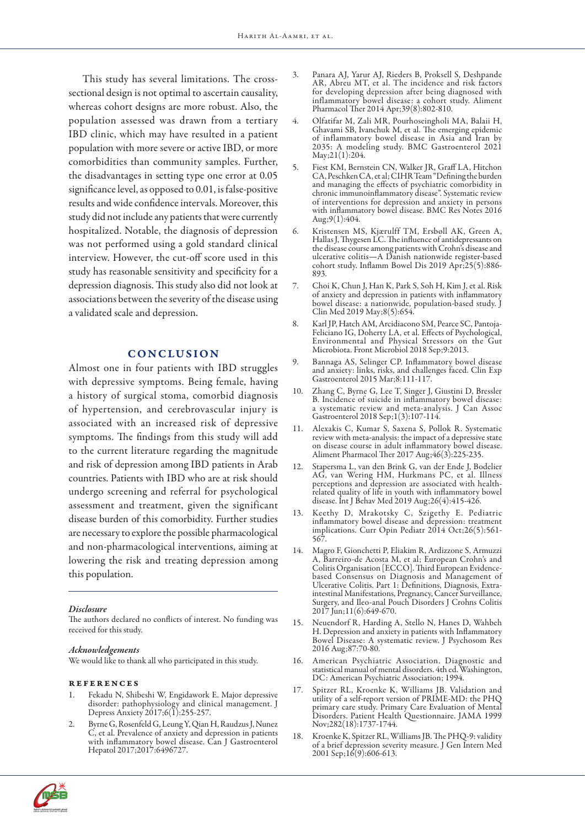This study has several limitations. The crosssectional design is not optimal to ascertain causality, whereas cohort designs are more robust. Also, the population assessed was drawn from a tertiary IBD clinic, which may have resulted in a patient population with more severe or active IBD, or more comorbidities than community samples. Further, the disadvantages in setting type one error at 0.05 significance level, as opposed to 0.01, is false-positive results and wide confidence intervals. Moreover, this study did not include any patients that were currently hospitalized. Notable, the diagnosis of depression was not performed using a gold standard clinical interview. However, the cut-off score used in this study has reasonable sensitivity and specificity for a depression diagnosis. This study also did not look at associations between the severity of the disease using a validated scale and depression.

# CONCLUSION

Almost one in four patients with IBD struggles with depressive symptoms. Being female, having a history of surgical stoma, comorbid diagnosis of hypertension, and cerebrovascular injury is associated with an increased risk of depressive symptoms. The findings from this study will add to the current literature regarding the magnitude and risk of depression among IBD patients in Arab countries. Patients with IBD who are at risk should undergo screening and referral for psychological assessment and treatment, given the significant disease burden of this comorbidity. Further studies are necessary to explore the possible pharmacological and non-pharmacological interventions, aiming at lowering the risk and treating depression among this population.

#### *Disclosure*

The authors declared no conflicts of interest. No funding was received for this study.

#### *Acknowledgements*

We would like to thank all who participated in this study.

## references

- 1. Fekadu N, Shibeshi W, Engidawork E. Major depressive disorder: pathophysiology and clinical management. J Depress Anxiety 2017;6(1):255-257.
- 2. Byrne G, Rosenfeld G, Leung Y, Qian H, Raudzus J, Nunez C, et al. Prevalence of anxiety and depression in patients with inflammatory bowel disease. Can J Gastroenterol Hepatol 2017;2017:6496727.
- 3. Panara AJ, Yarur AJ, Rieders B, Proksell S, Deshpande AR, Abreu MT, et al. The incidence and risk factors for developing depression after being diagnosed with inflammatory bowel disease: a cohort study. Aliment Pharmacol Ther 2014 Apr;39(8):802-810.
- 4. Olfatifar M, Zali MR, Pourhoseingholi MA, Balaii H, Ghavami SB, Ivanchuk M, et al. The emerging epidemic of inflammatory bowel disease in Asia and Iran by 2035: A modeling study. BMC Gastroenterol 2021 May;21(1):204.
- 5. Fiest KM, Bernstein CN, Walker JR, Graff LA, Hitchon CA, Peschken CA, et al; CIHR Team "Defining the burden and managing the effects of psychiatric comorbidity in chronic immunoinflammatory disease". Systematic review of interventions for depression and anxiety in persons with inflammatory bowel disease. BMC Res Notes 2016 Aug;9(1):404.
- 6. Kristensen MS, Kjærulff TM, Ersbøll AK, Green A, Hallas J, Thygesen LC. The influence of antidepressants on the disease course among patients with Crohn's disease and ulcerative colitis—A Danish nationwide register-based cohort study. Inflamm Bowel Dis 2019 Apr;25(5):886- 893.
- 7. Choi K, Chun J, Han K, Park S, Soh H, Kim J, et al. Risk of anxiety and depression in patients with inflammatory bowel disease: a nationwide, population-based study. J Clin Med 2019 May;8(5):654.
- 8. Karl JP, Hatch AM, Arcidiacono SM, Pearce SC, Pantoja-Feliciano IG, Doherty LA, et al. Effects of Psychological, Environmental and Physical Stressors on the Gut Microbiota. Front Microbiol 2018 Sep;9:2013.
- 9. Bannaga AS, Selinger CP. Inflammatory bowel disease and anxiety: links, risks, and challenges faced. Clin Exp Gastroenterol 2015 Mar;8:111-117.
- Zhang C, Byrne G, Lee T, Singer J, Giustini D, Bressler B. Incidence of suicide in inflammatory bowel disease: a systematic review and meta-analysis. J Can Assoc Gastroenterol 2018 Sep;1(3):107-114.
- 11. Alexakis C, Kumar S, Saxena S, Pollok R. Systematic review with meta-analysis: the impact of a depressive state on disease course in adult inflammatory bowel disease. Aliment Pharmacol Ther 2017 Aug;46(3):225-235.
- 12. Stapersma L, van den Brink G, van der Ende J, Bodelier AG, van Wering HM, Hurkmans PC, et al. Illness perceptions and depression are associated with healthrelated quality of life in youth with inflammatory bowel disease. Int J Behav Med 2019 Aug;26(4):415-426.
- 13. Keethy D, Mrakotsky C, Szigethy E. Pediatric inflammatory bowel disease and depression: treatment implications. Curr Opin Pediatr 2014 Oct;26(5):561- 567.
- 14. Magro F, Gionchetti P, Eliakim R, Ardizzone S, Armuzzi A, Barreiro-de Acosta M, et al; European Crohn's and Colitis Organisation [ECCO]. Third European Evidencebased Consensus on Diagnosis and Management of Ulcerative Colitis. Part 1: Definitions, Diagnosis, Extraintestinal Manifestations, Pregnancy, Cancer Surveillance, Surgery, and Ileo-anal Pouch Disorders J Crohns Colitis 2017 Jun;11(6):649-670.
- 15. Neuendorf R, Harding A, Stello N, Hanes D, Wahbeh H. Depression and anxiety in patients with Inflammatory Bowel Disease: A systematic review. J Psychosom Res 2016 Aug;87:70-80.
- 16. American Psychiatric Association. Diagnostic and statistical manual of mental disorders. 4th ed. Washington, DC: American Psychiatric Association; 1994.
- 17. Spitzer RL, Kroenke K, Williams JB. Validation and utility of a self-report version of PRIME-MD: the PHQ primary care study. Primary Care Evaluation of Mental Disorders. Patient Health Questionnaire. JAMA 1999 Nov;282(18):1737-1744.
- 18. Kroenke K, Spitzer RL, Williams JB. The PHQ-9: validity of a brief depression severity measure. J Gen Intern Med 2001 Sep;16(9):606-613.